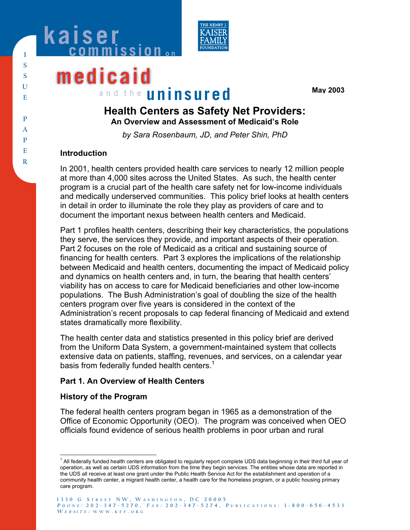



# **medicaid** and the **uninsured**

**May 2003**

# **Health Centers as Safety Net Providers: An Overview and Assessment of Medicaid's Role**

*by Sara Rosenbaum, JD, and Peter Shin, PhD* 

# **Introduction**

In 2001, health centers provided health care services to nearly 12 million people at more than 4,000 sites across the United States. As such, the health center program is a crucial part of the health care safety net for low-income individuals and medically underserved communities. This policy brief looks at health centers in detail in order to illuminate the role they play as providers of care and to document the important nexus between health centers and Medicaid.

Part 1 profiles health centers, describing their key characteristics, the populations they serve, the services they provide, and important aspects of their operation. Part 2 focuses on the role of Medicaid as a critical and sustaining source of financing for health centers. Part 3 explores the implications of the relationship between Medicaid and health centers, documenting the impact of Medicaid policy and dynamics on health centers and, in turn, the bearing that health centers' viability has on access to care for Medicaid beneficiaries and other low-income populations. The Bush Administration's goal of doubling the size of the health centers program over five years is considered in the context of the Administration's recent proposals to cap federal financing of Medicaid and extend states dramatically more flexibility.

The health center data and statistics presented in this policy brief are derived from the Uniform Data System, a government-maintained system that collects extensive data on patients, staffing, revenues, and services, on a calendar year basis from federally funded health centers. $1$ 

# **Part 1. An Overview of Health Centers**

# **History of the Program**

The federal health centers program began in 1965 as a demonstration of the Office of Economic Opportunity (OEO). The program was conceived when OEO officials found evidence of serious health problems in poor urban and rural

 <sup>1</sup> All federally funded health centers are obligated to regularly report complete UDS data beginning in their third full year of operation, as well as certain UDS information from the time they begin services. The entities whose data are reported in the UDS all receive at least one grant under the Public Health Service Act for the establishment and operation of a community health center, a migrant health center, a health care for the homeless program, or a public housing primary care program.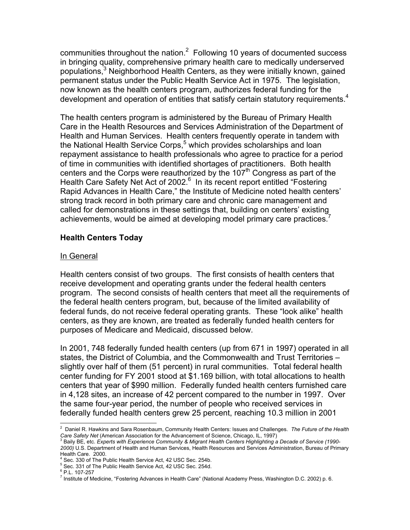communities throughout the nation. $2$  Following 10 years of documented success in bringing quality, comprehensive primary health care to medically underserved populations,<sup>3</sup> Neighborhood Health Centers, as they were initially known, gained permanent status under the Public Health Service Act in 1975. The legislation, now known as the health centers program, authorizes federal funding for the development and operation of entities that satisfy certain statutory requirements.<sup>4</sup>

The health centers program is administered by the Bureau of Primary Health Care in the Health Resources and Services Administration of the Department of Health and Human Services. Health centers frequently operate in tandem with the National Health Service Corps,<sup>5</sup> which provides scholarships and loan repayment assistance to health professionals who agree to practice for a period of time in communities with identified shortages of practitioners. Both health centers and the Corps were reauthorized by the  $107<sup>th</sup>$  Congress as part of the Health Care Safety Net Act of 2002.<sup>6</sup> In its recent report entitled "Fostering Rapid Advances in Health Care," the Institute of Medicine noted health centers' strong track record in both primary care and chronic care management and called for demonstrations in these settings that, building on centers' existing achievements, would be aimed at developing model primary care practices.<sup>7</sup>

#### **Health Centers Today**

#### In General

Health centers consist of two groups. The first consists of health centers that receive development and operating grants under the federal health centers program. The second consists of health centers that meet all the requirements of the federal health centers program, but, because of the limited availability of federal funds, do not receive federal operating grants. These "look alike" health centers, as they are known, are treated as federally funded health centers for purposes of Medicare and Medicaid, discussed below.

In 2001, 748 federally funded health centers (up from 671 in 1997) operated in all states, the District of Columbia, and the Commonwealth and Trust Territories – slightly over half of them (51 percent) in rural communities. Total federal health center funding for FY 2001 stood at \$1.169 billion, with total allocations to health centers that year of \$990 million. Federally funded health centers furnished care in 4,128 sites, an increase of 42 percent compared to the number in 1997. Over the same four-year period, the number of people who received services in federally funded health centers grew 25 percent, reaching 10.3 million in 2001

 2 Daniel R. Hawkins and Sara Rosenbaum, Community Health Centers: Issues and Challenges. *The Future of the Health Care Safety Net* (American Association for the Advancement of Science, Chicago, IL, 1997)<br><sup>3</sup> Baily BE, etc. *Experts with Experience Community & Migrant Health Centers Highlighting a Decade of Service (1990-*

*<sup>2000)</sup>* U.S. Department of Health and Human Services, Health Resources and Services Administration, Bureau of Primary Health Care. 2000.

<sup>4</sup> Sec. 330 of The Public Health Service Act, 42 USC Sec. 254b.

<sup>5</sup> Sec. 331 of The Public Health Service Act, 42 USC Sec. 254d.

<sup>6</sup> P.L. 107-257

<sup>&</sup>lt;sup>7</sup> Institute of Medicine, "Fostering Advances in Health Care" (National Academy Press, Washington D.C. 2002) p. 6.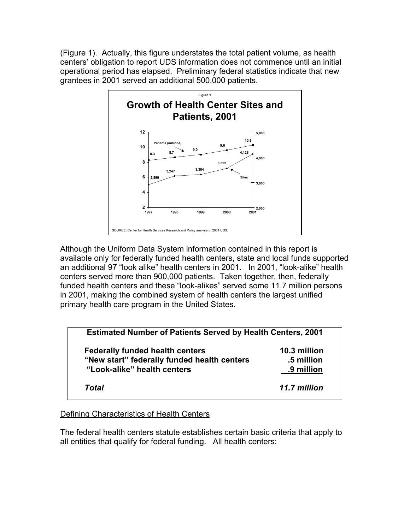(Figure 1). Actually, this figure understates the total patient volume, as health centers' obligation to report UDS information does not commence until an initial operational period has elapsed. Preliminary federal statistics indicate that new grantees in 2001 served an additional 500,000 patients.



Although the Uniform Data System information contained in this report is available only for federally funded health centers, state and local funds supported an additional 97 "look alike" health centers in 2001. In 2001, "look-alike" health centers served more than 900,000 patients. Taken together, then, federally funded health centers and these "look-alikes" served some 11.7 million persons in 2001, making the combined system of health centers the largest unified primary health care program in the United States.

| <b>Estimated Number of Patients Served by Health Centers, 2001</b> |              |
|--------------------------------------------------------------------|--------------|
| <b>Federally funded health centers</b>                             | 10.3 million |
| "New start" federally funded health centers                        | .5 million   |
| "Look-alike" health centers                                        | .9 million   |
| Total                                                              | 11.7 million |

#### Defining Characteristics of Health Centers

The federal health centers statute establishes certain basic criteria that apply to all entities that qualify for federal funding. All health centers: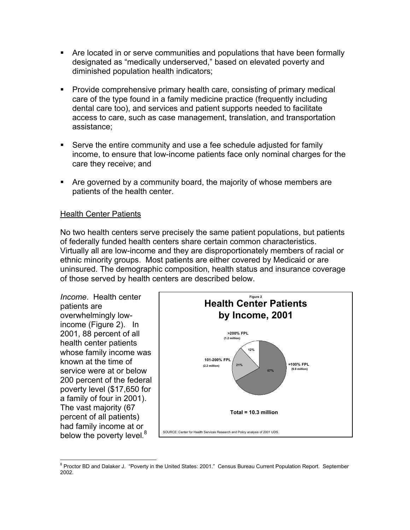- Are located in or serve communities and populations that have been formally designated as "medically underserved," based on elevated poverty and diminished population health indicators;
- Provide comprehensive primary health care, consisting of primary medical care of the type found in a family medicine practice (frequently including dental care too), and services and patient supports needed to facilitate access to care, such as case management, translation, and transportation assistance;
- Serve the entire community and use a fee schedule adjusted for family income, to ensure that low-income patients face only nominal charges for the care they receive; and
- Are governed by a community board, the majority of whose members are patients of the health center.

#### Health Center Patients

No two health centers serve precisely the same patient populations, but patients of federally funded health centers share certain common characteristics. Virtually all are low-income and they are disproportionately members of racial or ethnic minority groups. Most patients are either covered by Medicaid or are uninsured. The demographic composition, health status and insurance coverage of those served by health centers are described below.

*Income*. Health center patients are overwhelmingly lowincome (Figure 2). In 2001, 88 percent of all health center patients whose family income was known at the time of service were at or below 200 percent of the federal poverty level (\$17,650 for a family of four in 2001). The vast majority (67 percent of all patients) had family income at or below the poverty level.<sup>8</sup>



 8 Proctor BD and Dalaker J. "Poverty in the United States: 2001." Census Bureau Current Population Report. September 2002.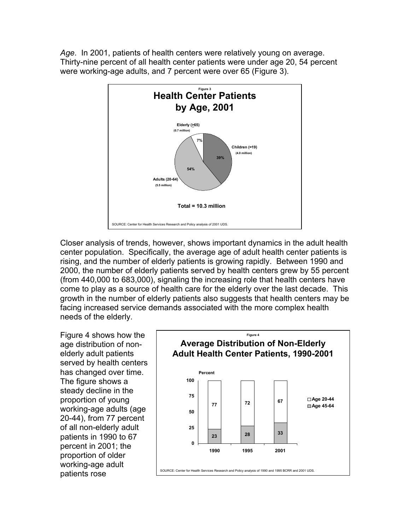*Age*. In 2001, patients of health centers were relatively young on average. Thirty-nine percent of all health center patients were under age 20, 54 percent were working-age adults, and 7 percent were over 65 (Figure 3).



Closer analysis of trends, however, shows important dynamics in the adult health center population. Specifically, the average age of adult health center patients is rising, and the number of elderly patients is growing rapidly. Between 1990 and 2000, the number of elderly patients served by health centers grew by 55 percent (from 440,000 to 683,000), signaling the increasing role that health centers have come to play as a source of health care for the elderly over the last decade. This growth in the number of elderly patients also suggests that health centers may be facing increased service demands associated with the more complex health needs of the elderly.

Figure 4 shows how the age distribution of nonelderly adult patients served by health centers has changed over time. The figure shows a steady decline in the proportion of young working-age adults (age 20-44), from 77 percent of all non-elderly adult patients in 1990 to 67 percent in 2001; the proportion of older working-age adult patients rose

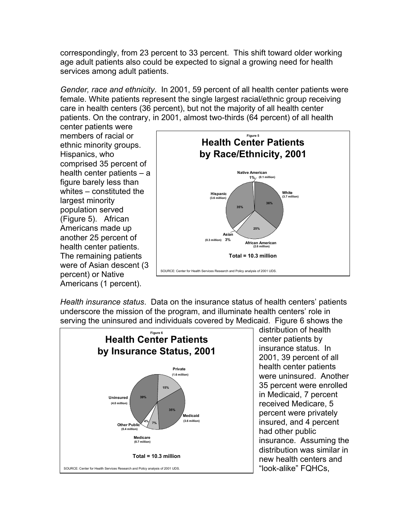correspondingly, from 23 percent to 33 percent. This shift toward older working age adult patients also could be expected to signal a growing need for health services among adult patients.

*Gender, race and ethnicity*. In 2001, 59 percent of all health center patients were female. White patients represent the single largest racial/ethnic group receiving care in health centers (36 percent), but not the majority of all health center patients. On the contrary, in 2001, almost two-thirds (64 percent) of all health

center patients were members of racial or ethnic minority groups. Hispanics, who comprised 35 percent of health center patients – a figure barely less than whites – constituted the largest minority population served (Figure 5). African Americans made up another 25 percent of health center patients. The remaining patients were of Asian descent (3 percent) or Native Americans (1 percent).



*Health insurance status*. Data on the insurance status of health centers' patients underscore the mission of the program, and illuminate health centers' role in serving the uninsured and individuals covered by Medicaid. Figure 6 shows the



distribution of health center patients by insurance status. In 2001, 39 percent of all health center patients were uninsured. Another 35 percent were enrolled in Medicaid, 7 percent received Medicare, 5 percent were privately insured, and 4 percent had other public insurance. Assuming the distribution was similar in new health centers and "look-alike" FQHCs,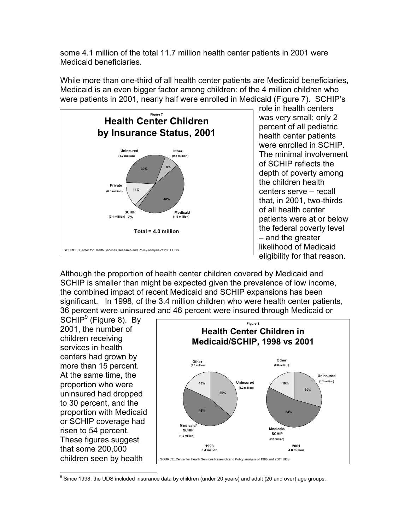some 4.1 million of the total 11.7 million health center patients in 2001 were Medicaid beneficiaries.

While more than one-third of all health center patients are Medicaid beneficiaries, Medicaid is an even bigger factor among children: of the 4 million children who were patients in 2001, nearly half were enrolled in Medicaid (Figure 7). SCHIP's



role in health centers was very small; only 2 percent of all pediatric health center patients were enrolled in SCHIP. The minimal involvement of SCHIP reflects the depth of poverty among the children health centers serve – recall that, in 2001, two-thirds of all health center patients were at or below the federal poverty level – and the greater likelihood of Medicaid eligibility for that reason.

Although the proportion of health center children covered by Medicaid and SCHIP is smaller than might be expected given the prevalence of low income, the combined impact of recent Medicaid and SCHIP expansions has been significant. In 1998, of the 3.4 million children who were health center patients, 36 percent were uninsured and 46 percent were insured through Medicaid or

SCHIP<sup>9</sup> (Figure 8). By 2001, the number of children receiving services in health centers had grown by more than 15 percent. At the same time, the proportion who were uninsured had dropped to 30 percent, and the proportion with Medicaid or SCHIP coverage had risen to 54 percent. These figures suggest that some 200,000 children seen by health



9 Since 1998, the UDS included insurance data by children (under 20 years) and adult (20 and over) age groups.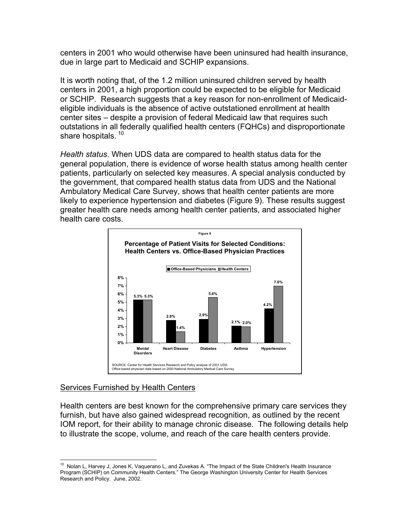centers in 2001 who would otherwise have been uninsured had health insurance, due in large part to Medicaid and SCHIP expansions.

It is worth noting that, of the 1.2 million uninsured children served by health centers in 2001, a high proportion could be expected to be eligible for Medicaid or SCHIP.Research suggests that a key reason for non-enrollment of Medicaideligible individuals is the absence of active outstationed enrollment at health center sites – despite a provision of federal Medicaid law that requires such outstations in all federally qualified health centers (FQHCs) and disproportionate share hospitals.<sup>10</sup>

*Health status*. When UDS data are compared to health status data for the general population, there is evidence of worse health status among health center patients, particularly on selected key measures. A special analysis conducted by the government, that compared health status data from UDS and the National Ambulatory Medical Care Survey, shows that health center patients are more likely to experience hypertension and diabetes (Figure 9). These results suggest greater health care needs among health center patients, and associated higher health care costs.



#### Services Furnished by Health Centers

Health centers are best known for the comprehensive primary care services they furnish, but have also gained widespread recognition, as outlined by the recent IOM report, for their ability to manage chronic disease. The following details help to illustrate the scope, volume, and reach of the care health centers provide.

  $10$  Nolan L, Harvey J, Jones K, Vaquerano L, and Zuvekas A. "The Impact of the State Children's Health Insurance Program (SCHIP) on Community Health Centers." The George Washington University Center for Health Services Research and Policy. June, 2002.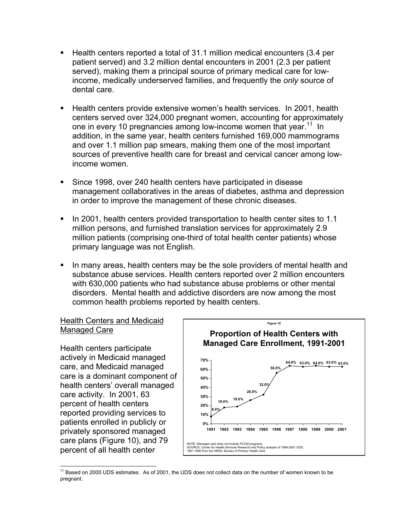- Health centers reported a total of 31.1 million medical encounters (3.4 per patient served) and 3.2 million dental encounters in 2001 (2.3 per patient served), making them a principal source of primary medical care for lowincome, medically underserved families, and frequently the *only* source of dental care.
- Health centers provide extensive women's health services. In 2001, health centers served over 324,000 pregnant women, accounting for approximately one in every 10 pregnancies among low-income women that year.<sup>11</sup> In addition, in the same year, health centers furnished 169,000 mammograms and over 1.1 million pap smears, making them one of the most important sources of preventive health care for breast and cervical cancer among lowincome women.
- Since 1998, over 240 health centers have participated in disease management collaboratives in the areas of diabetes, asthma and depression in order to improve the management of these chronic diseases.
- In 2001, health centers provided transportation to health center sites to 1.1 million persons, and furnished translation services for approximately 2.9 million patients (comprising one-third of total health center patients) whose primary language was not English.
- In many areas, health centers may be the sole providers of mental health and substance abuse services. Health centers reported over 2 million encounters with 630,000 patients who had substance abuse problems or other mental disorders. Mental health and addictive disorders are now among the most common health problems reported by health centers.

# Health Centers and Medicaid Managed Care

Health centers participate actively in Medicaid managed care, and Medicaid managed care is a dominant component of health centers' overall managed care activity. In 2001, 63 percent of health centers reported providing services to patients enrolled in publicly or privately sponsored managed care plans (Figure 10), and 79 percent of all health center



 $\overline{a}$ <sup>11</sup> Based on 2000 UDS estimates. As of 2001, the UDS does not collect data on the number of women known to be pregnant.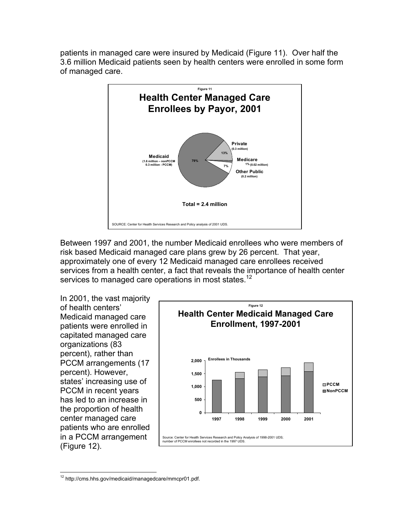patients in managed care were insured by Medicaid (Figure 11). Over half the 3.6 million Medicaid patients seen by health centers were enrolled in some form of managed care.



Between 1997 and 2001, the number Medicaid enrollees who were members of risk based Medicaid managed care plans grew by 26 percent. That year, approximately one of every 12 Medicaid managed care enrollees received services from a health center, a fact that reveals the importance of health center services to managed care operations in most states.<sup>12</sup>

In 2001, the vast majority of health centers' Medicaid managed care patients were enrolled in capitated managed care organizations (83 percent), rather than PCCM arrangements (17 percent). However, states' increasing use of PCCM in recent years has led to an increase in the proportion of health center managed care patients who are enrolled in a PCCM arrangement (Figure 12).



 <sup>12</sup> http://cms.hhs.gov/medicaid/managedcare/mmcpr01.pdf.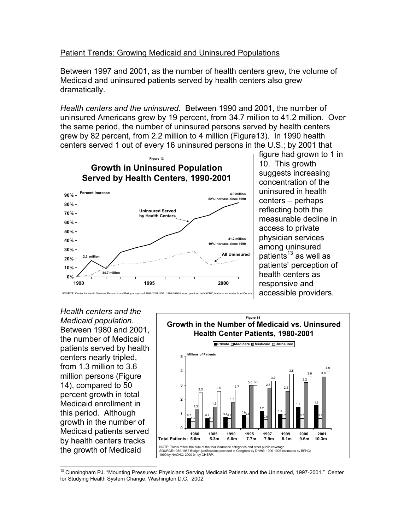#### Patient Trends: Growing Medicaid and Uninsured Populations

Between 1997 and 2001, as the number of health centers grew, the volume of Medicaid and uninsured patients served by health centers also grew dramatically.

*Health centers and the uninsured*. Between 1990 and 2001, the number of uninsured Americans grew by 19 percent, from 34.7 million to 41.2 million. Over the same period, the number of uninsured persons served by health centers grew by 82 percent, from 2.2 million to 4 million (Figure13). In 1990 health centers served 1 out of every 16 uninsured persons in the U.S.; by 2001 that



figure had grown to 1 in 10. This growth suggests increasing concentration of the uninsured in health centers – perhaps reflecting both the measurable decline in access to private physician services among uninsured patients $^{13}$  as well as patients' perception of health centers as responsive and accessible providers.

*Health centers and the Medicaid population*. Between 1980 and 2001, the number of Medicaid patients served by health centers nearly tripled, from 1.3 million to 3.6 million persons (Figure 14), compared to 50 percent growth in total Medicaid enrollment in this period. Although growth in the number of Medicaid patients served by health centers tracks the growth of Medicaid



 $\overline{a}$ <sup>13</sup> Cunningham PJ. "Mounting Pressures: Physicians Serving Medicaid Patients and the Uninsured, 1997-2001." Center for Studying Health System Change, Washington D.C. 2002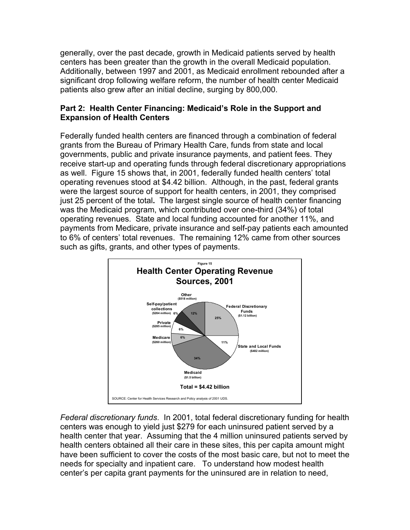generally, over the past decade, growth in Medicaid patients served by health centers has been greater than the growth in the overall Medicaid population. Additionally, between 1997 and 2001, as Medicaid enrollment rebounded after a significant drop following welfare reform, the number of health center Medicaid patients also grew after an initial decline, surging by 800,000.

# **Part 2: Health Center Financing: Medicaid's Role in the Support and Expansion of Health Centers**

Federally funded health centers are financed through a combination of federal grants from the Bureau of Primary Health Care, funds from state and local governments, public and private insurance payments, and patient fees. They receive start-up and operating funds through federal discretionary appropriations as well. Figure 15 shows that, in 2001, federally funded health centers' total operating revenues stood at \$4.42 billion. Although, in the past, federal grants were the largest source of support for health centers, in 2001, they comprised just 25 percent of the total**.** The largest single source of health center financing was the Medicaid program, which contributed over one-third (34%) of total operating revenues. State and local funding accounted for another 11%, and payments from Medicare, private insurance and self-pay patients each amounted to 6% of centers' total revenues. The remaining 12% came from other sources such as gifts, grants, and other types of payments.



*Federal discretionary funds*. In 2001, total federal discretionary funding for health centers was enough to yield just \$279 for each uninsured patient served by a health center that year. Assuming that the 4 million uninsured patients served by health centers obtained all their care in these sites, this per capita amount might have been sufficient to cover the costs of the most basic care, but not to meet the needs for specialty and inpatient care. To understand how modest health center's per capita grant payments for the uninsured are in relation to need,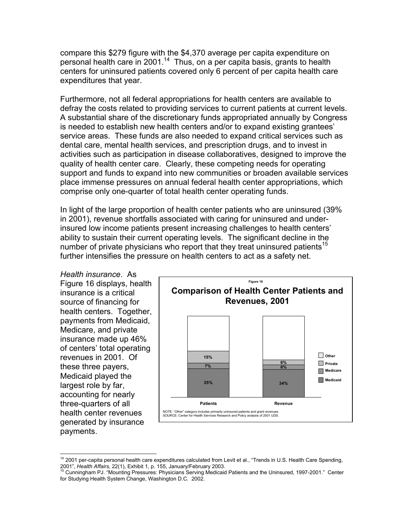compare this \$279 figure with the \$4,370 average per capita expenditure on personal health care in 2001.14 Thus, on a per capita basis, grants to health centers for uninsured patients covered only 6 percent of per capita health care expenditures that year.

Furthermore, not all federal appropriations for health centers are available to defray the costs related to providing services to current patients at current levels. A substantial share of the discretionary funds appropriated annually by Congress is needed to establish new health centers and/or to expand existing grantees' service areas. These funds are also needed to expand critical services such as dental care, mental health services, and prescription drugs, and to invest in activities such as participation in disease collaboratives, designed to improve the quality of health center care. Clearly, these competing needs for operating support and funds to expand into new communities or broaden available services place immense pressures on annual federal health center appropriations, which comprise only one-quarter of total health center operating funds.

In light of the large proportion of health center patients who are uninsured (39% in 2001), revenue shortfalls associated with caring for uninsured and underinsured low income patients present increasing challenges to health centers' ability to sustain their current operating levels. The significant decline in the number of private physicians who report that they treat uninsured patients<sup>15</sup> further intensifies the pressure on health centers to act as a safety net.

*Health insurance*. As Figure 16 displays, health insurance is a critical source of financing for health centers. Together, payments from Medicaid, Medicare, and private insurance made up 46% of centers' total operating revenues in 2001. Of these three payers, Medicaid played the largest role by far, accounting for nearly three-quarters of all health center revenues generated by insurance payments.



<sup>&</sup>lt;sup>14</sup> 2001 per-capita personal health care expenditures calculated from Levit et al., "Trends in U.S. Health Care Spending, 2001", *Health Affairs*, 22(1), Exhibit 1, p. 155, January/February 2003.<br><sup>15</sup> Cunningham PJ. "Mounting Pressures: Physicians Serving Medicaid Patients and the Uninsured, 1997-2001." Center

for Studying Health System Change, Washington D.C. 2002.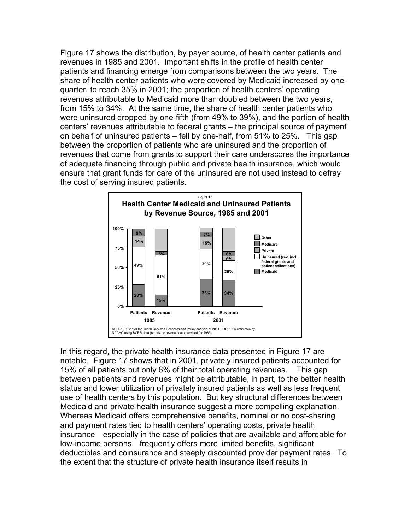Figure 17 shows the distribution, by payer source, of health center patients and revenues in 1985 and 2001. Important shifts in the profile of health center patients and financing emerge from comparisons between the two years. The share of health center patients who were covered by Medicaid increased by onequarter, to reach 35% in 2001; the proportion of health centers' operating revenues attributable to Medicaid more than doubled between the two years, from 15% to 34%. At the same time, the share of health center patients who were uninsured dropped by one-fifth (from 49% to 39%), and the portion of health centers' revenues attributable to federal grants – the principal source of payment on behalf of uninsured patients – fell by one-half, from 51% to 25%. This gap between the proportion of patients who are uninsured and the proportion of revenues that come from grants to support their care underscores the importance of adequate financing through public and private health insurance, which would ensure that grant funds for care of the uninsured are not used instead to defray the cost of serving insured patients.



In this regard, the private health insurance data presented in Figure 17 are notable. Figure 17 shows that in 2001, privately insured patients accounted for 15% of all patients but only 6% of their total operating revenues. This gap between patients and revenues might be attributable, in part, to the better health status and lower utilization of privately insured patients as well as less frequent use of health centers by this population. But key structural differences between Medicaid and private health insurance suggest a more compelling explanation. Whereas Medicaid offers comprehensive benefits, nominal or no cost-sharing and payment rates tied to health centers' operating costs, private health insurance—especially in the case of policies that are available and affordable for low-income persons—frequently offers more limited benefits, significant deductibles and coinsurance and steeply discounted provider payment rates. To the extent that the structure of private health insurance itself results in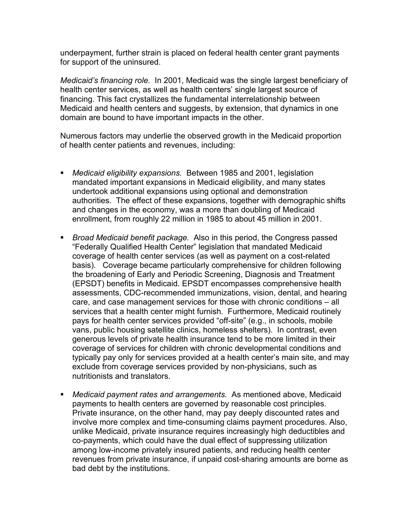underpayment, further strain is placed on federal health center grant payments for support of the uninsured.

*Medicaid's financing role.* In 2001, Medicaid was the single largest beneficiary of health center services, as well as health centers' single largest source of financing. This fact crystallizes the fundamental interrelationship between Medicaid and health centers and suggests, by extension, that dynamics in one domain are bound to have important impacts in the other.

Numerous factors may underlie the observed growth in the Medicaid proportion of health center patients and revenues, including:

- *Medicaid eligibility expansions.* Between 1985 and 2001, legislation mandated important expansions in Medicaid eligibility, and many states undertook additional expansions using optional and demonstration authorities. The effect of these expansions, together with demographic shifts and changes in the economy, was a more than doubling of Medicaid enrollment, from roughly 22 million in 1985 to about 45 million in 2001.
- *Broad Medicaid benefit package.* Also in this period, the Congress passed "Federally Qualified Health Center" legislation that mandated Medicaid coverage of health center services (as well as payment on a cost-related basis). Coverage became particularly comprehensive for children following the broadening of Early and Periodic Screening, Diagnosis and Treatment (EPSDT) benefits in Medicaid. EPSDT encompasses comprehensive health assessments, CDC-recommended immunizations, vision, dental, and hearing care, and case management services for those with chronic conditions – all services that a health center might furnish. Furthermore, Medicaid routinely pays for health center services provided "off-site" (e.g., in schools, mobile vans, public housing satellite clinics, homeless shelters). In contrast, even generous levels of private health insurance tend to be more limited in their coverage of services for children with chronic developmental conditions and typically pay only for services provided at a health center's main site, and may exclude from coverage services provided by non-physicians, such as nutritionists and translators.
- *Medicaid payment rates and arrangements.* As mentioned above, Medicaid payments to health centers are governed by reasonable cost principles. Private insurance, on the other hand, may pay deeply discounted rates and involve more complex and time-consuming claims payment procedures. Also, unlike Medicaid, private insurance requires increasingly high deductibles and co-payments, which could have the dual effect of suppressing utilization among low-income privately insured patients, and reducing health center revenues from private insurance, if unpaid cost-sharing amounts are borne as bad debt by the institutions.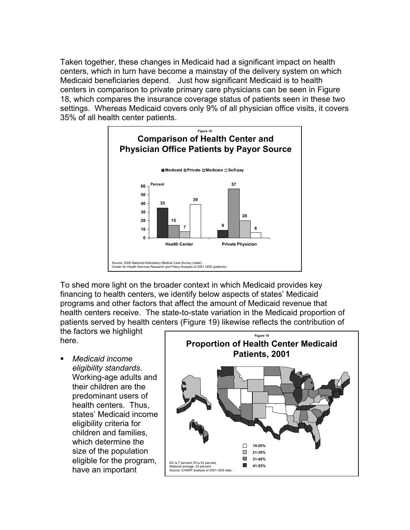Taken together, these changes in Medicaid had a significant impact on health centers, which in turn have become a mainstay of the delivery system on which Medicaid beneficiaries depend. Just how significant Medicaid is to health centers in comparison to private primary care physicians can be seen in Figure 18, which compares the insurance coverage status of patients seen in these two settings. Whereas Medicaid covers only 9% of all physician office visits, it covers 35% of all health center patients.



To shed more light on the broader context in which Medicaid provides key financing to health centers, we identify below aspects of states' Medicaid programs and other factors that affect the amount of Medicaid revenue that health centers receive. The state-to-state variation in the Medicaid proportion of patients served by health centers (Figure 19) likewise reflects the contribution of

the factors we highlight here.

 *Medicaid income eligibility standards*. Working-age adults and their children are the predominant users of health centers. Thus, states' Medicaid income eligibility criteria for children and families, which determine the size of the population eligible for the program, have an important

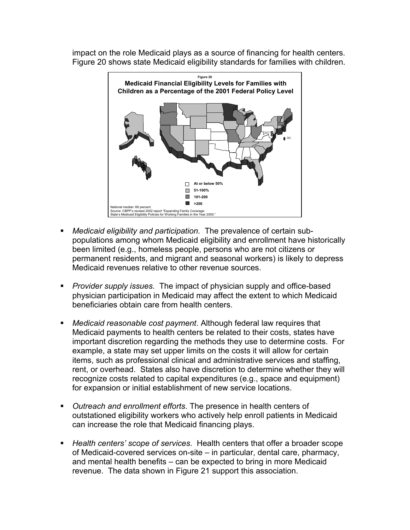impact on the role Medicaid plays as a source of financing for health centers. Figure 20 shows state Medicaid eligibility standards for families with children.



- *Medicaid eligibility and participation.* The prevalence of certain subpopulations among whom Medicaid eligibility and enrollment have historically been limited (e.g., homeless people, persons who are not citizens or permanent residents, and migrant and seasonal workers) is likely to depress Medicaid revenues relative to other revenue sources.
- *Provider supply issues.* The impact of physician supply and office-based physician participation in Medicaid may affect the extent to which Medicaid beneficiaries obtain care from health centers.
- *Medicaid reasonable cost payment*. Although federal law requires that Medicaid payments to health centers be related to their costs, states have important discretion regarding the methods they use to determine costs. For example, a state may set upper limits on the costs it will allow for certain items, such as professional clinical and administrative services and staffing, rent, or overhead. States also have discretion to determine whether they will recognize costs related to capital expenditures (e.g., space and equipment) for expansion or initial establishment of new service locations.
- *Outreach and enrollment efforts*. The presence in health centers of outstationed eligibility workers who actively help enroll patients in Medicaid can increase the role that Medicaid financing plays.
- *Health centers' scope of services*. Health centers that offer a broader scope of Medicaid-covered services on-site – in particular, dental care, pharmacy, and mental health benefits – can be expected to bring in more Medicaid revenue. The data shown in Figure 21 support this association.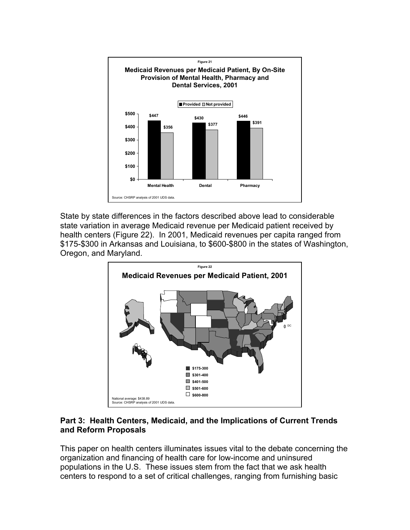

State by state differences in the factors described above lead to considerable state variation in average Medicaid revenue per Medicaid patient received by health centers (Figure 22). In 2001, Medicaid revenues per capita ranged from \$175-\$300 in Arkansas and Louisiana, to \$600-\$800 in the states of Washington, Oregon, and Maryland.



# **Part 3: Health Centers, Medicaid, and the Implications of Current Trends and Reform Proposals**

This paper on health centers illuminates issues vital to the debate concerning the organization and financing of health care for low-income and uninsured populations in the U.S. These issues stem from the fact that we ask health centers to respond to a set of critical challenges, ranging from furnishing basic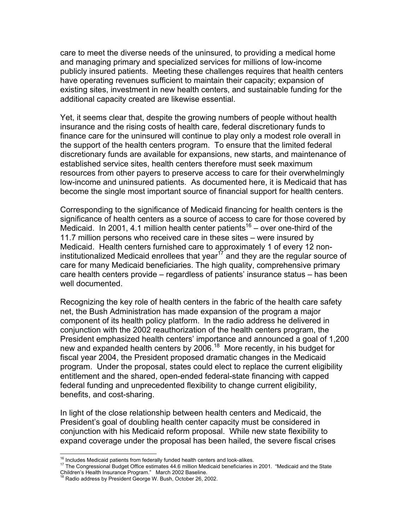care to meet the diverse needs of the uninsured, to providing a medical home and managing primary and specialized services for millions of low-income publicly insured patients. Meeting these challenges requires that health centers have operating revenues sufficient to maintain their capacity; expansion of existing sites, investment in new health centers, and sustainable funding for the additional capacity created are likewise essential.

Yet, it seems clear that, despite the growing numbers of people without health insurance and the rising costs of health care, federal discretionary funds to finance care for the uninsured will continue to play only a modest role overall in the support of the health centers program. To ensure that the limited federal discretionary funds are available for expansions, new starts, and maintenance of established service sites, health centers therefore must seek maximum resources from other payers to preserve access to care for their overwhelmingly low-income and uninsured patients. As documented here, it is Medicaid that has become the single most important source of financial support for health centers.

Corresponding to the significance of Medicaid financing for health centers is the significance of health centers as a source of access to care for those covered by Medicaid. In 2001, 4.1 million health center patients<sup>16</sup> – over one-third of the 11.7 million persons who received care in these sites – were insured by Medicaid. Health centers furnished care to approximately 1 of every 12 noninstitutionalized Medicaid enrollees that year<sup>17</sup> and they are the regular source of care for many Medicaid beneficiaries. The high quality, comprehensive primary care health centers provide – regardless of patients' insurance status – has been well documented.

Recognizing the key role of health centers in the fabric of the health care safety net, the Bush Administration has made expansion of the program a major component of its health policy platform. In the radio address he delivered in conjunction with the 2002 reauthorization of the health centers program, the President emphasized health centers' importance and announced a goal of 1,200 new and expanded health centers by 2006.<sup>18</sup> More recently, in his budget for fiscal year 2004, the President proposed dramatic changes in the Medicaid program. Under the proposal, states could elect to replace the current eligibility entitlement and the shared, open-ended federal-state financing with capped federal funding and unprecedented flexibility to change current eligibility, benefits, and cost-sharing.

In light of the close relationship between health centers and Medicaid, the President's goal of doubling health center capacity must be considered in conjunction with his Medicaid reform proposal. While new state flexibility to expand coverage under the proposal has been hailed, the severe fiscal crises

<sup>&</sup>lt;sup>16</sup> Includes Medicaid patients from federally funded health centers and look-alikes.<br><sup>17</sup> The Congressional Budget Office estimates 44.6 million Medicaid beneficiaries in 2001. *"*Medicaid and the State Children's Health Insurance Program." March 2002 Baseline. 18 Radio address by President George W. Bush, October 26, 2002.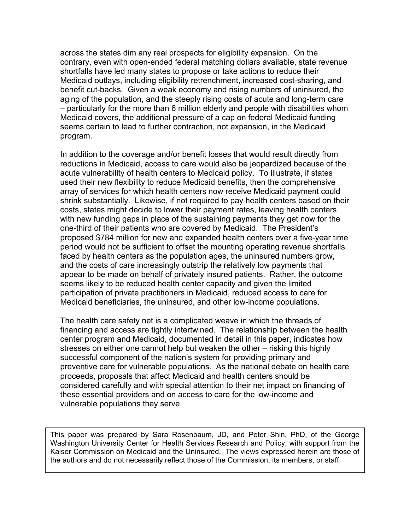across the states dim any real prospects for eligibility expansion. On the contrary, even with open-ended federal matching dollars available, state revenue shortfalls have led many states to propose or take actions to reduce their Medicaid outlays, including eligibility retrenchment, increased cost-sharing, and benefit cut-backs. Given a weak economy and rising numbers of uninsured, the aging of the population, and the steeply rising costs of acute and long-term care – particularly for the more than 6 million elderly and people with disabilities whom Medicaid covers, the additional pressure of a cap on federal Medicaid funding seems certain to lead to further contraction, not expansion, in the Medicaid program.

In addition to the coverage and/or benefit losses that would result directly from reductions in Medicaid, access to care would also be jeopardized because of the acute vulnerability of health centers to Medicaid policy. To illustrate, if states used their new flexibility to reduce Medicaid benefits, then the comprehensive array of services for which health centers now receive Medicaid payment could shrink substantially. Likewise, if not required to pay health centers based on their costs, states might decide to lower their payment rates, leaving health centers with new funding gaps in place of the sustaining payments they get now for the one-third of their patients who are covered by Medicaid. The President's proposed \$784 million for new and expanded health centers over a five-year time period would not be sufficient to offset the mounting operating revenue shortfalls faced by health centers as the population ages, the uninsured numbers grow, and the costs of care increasingly outstrip the relatively low payments that appear to be made on behalf of privately insured patients. Rather, the outcome seems likely to be reduced health center capacity and given the limited participation of private practitioners in Medicaid, reduced access to care for Medicaid beneficiaries, the uninsured, and other low-income populations.

The health care safety net is a complicated weave in which the threads of financing and access are tightly intertwined. The relationship between the health center program and Medicaid, documented in detail in this paper, indicates how stresses on either one cannot help but weaken the other – risking this highly successful component of the nation's system for providing primary and preventive care for vulnerable populations. As the national debate on health care proceeds, proposals that affect Medicaid and health centers should be considered carefully and with special attention to their net impact on financing of these essential providers and on access to care for the low-income and vulnerable populations they serve.

This paper was prepared by Sara Rosenbaum, JD, and Peter Shin, PhD, of the George Washington University Center for Health Services Research and Policy, with support from the Kaiser Commission on Medicaid and the Uninsured. The views expressed herein are those of the authors and do not necessarily reflect those of the Commission, its members, or staff.